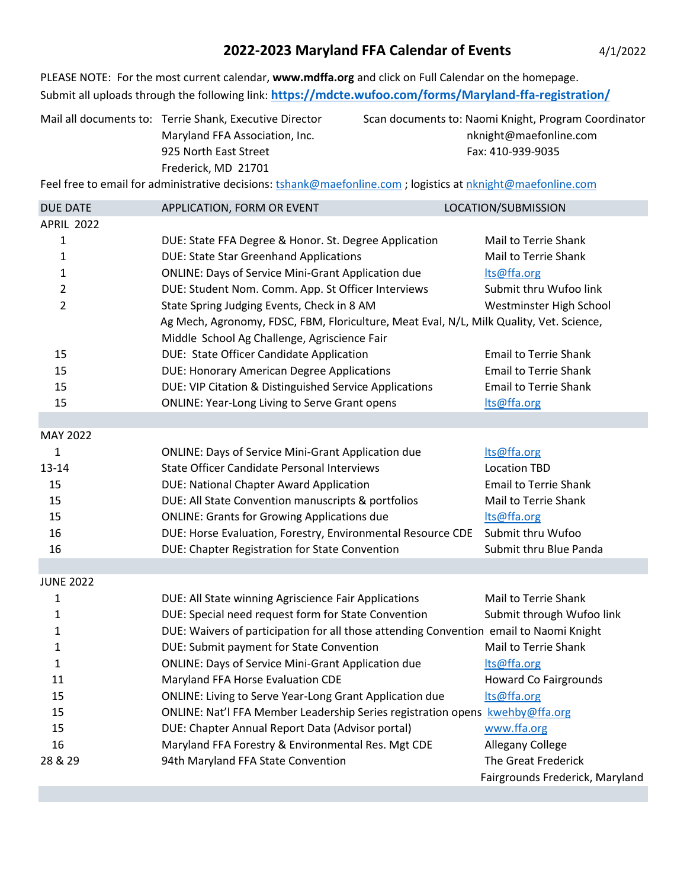## **2022-2023 Maryland FFA Calendar of Events** 4/1/2022

PLEASE NOTE: For the most current calendar, **www.mdffa.org** and click on Full Calendar on the homepage. Submit all uploads through the following link: **<https://mdcte.wufoo.com/forms/Maryland-ffa-registration/>**

| Mail all documents to: Terrie Shank, Executive Director |
|---------------------------------------------------------|
| Maryland FFA Association, Inc.                          |
| 925 North East Street                                   |
| Frederick, MD 21701                                     |

Scan documents to: Naomi Knight, Program Coordinator nknight@maefonline.com Fax: 410-939-9035

Feel free to email for administrative decisions[: tshank@maefonline.com](mailto:tshank@maefonline.com) ; logistics a[t nknight@maefonline.com](mailto:nknight@maefonline.com)

| <b>DUE DATE</b>   | APPLICATION, FORM OR EVENT                                                              | LOCATION/SUBMISSION             |  |  |
|-------------------|-----------------------------------------------------------------------------------------|---------------------------------|--|--|
| <b>APRIL 2022</b> |                                                                                         |                                 |  |  |
| 1                 | DUE: State FFA Degree & Honor. St. Degree Application                                   | Mail to Terrie Shank            |  |  |
| 1                 | <b>DUE: State Star Greenhand Applications</b>                                           | Mail to Terrie Shank            |  |  |
| 1                 | <b>ONLINE: Days of Service Mini-Grant Application due</b>                               | Its@ffa.org                     |  |  |
| 2                 | DUE: Student Nom. Comm. App. St Officer Interviews                                      | Submit thru Wufoo link          |  |  |
| $\overline{2}$    | State Spring Judging Events, Check in 8 AM                                              | Westminster High School         |  |  |
|                   | Ag Mech, Agronomy, FDSC, FBM, Floriculture, Meat Eval, N/L, Milk Quality, Vet. Science, |                                 |  |  |
|                   | Middle School Ag Challenge, Agriscience Fair                                            |                                 |  |  |
| 15                | DUE: State Officer Candidate Application                                                | <b>Email to Terrie Shank</b>    |  |  |
| 15                | <b>DUE: Honorary American Degree Applications</b>                                       | <b>Email to Terrie Shank</b>    |  |  |
| 15                | DUE: VIP Citation & Distinguished Service Applications                                  | <b>Email to Terrie Shank</b>    |  |  |
| 15                | <b>ONLINE: Year-Long Living to Serve Grant opens</b>                                    | Its@ffa.org                     |  |  |
|                   |                                                                                         |                                 |  |  |
| MAY 2022          |                                                                                         |                                 |  |  |
| 1                 | <b>ONLINE: Days of Service Mini-Grant Application due</b>                               | Its@ffa.org                     |  |  |
| 13-14             | <b>State Officer Candidate Personal Interviews</b>                                      | <b>Location TBD</b>             |  |  |
| 15                | DUE: National Chapter Award Application                                                 | <b>Email to Terrie Shank</b>    |  |  |
| 15                | DUE: All State Convention manuscripts & portfolios                                      | Mail to Terrie Shank            |  |  |
| 15                | <b>ONLINE: Grants for Growing Applications due</b>                                      | lts@ffa.org                     |  |  |
| 16                | DUE: Horse Evaluation, Forestry, Environmental Resource CDE                             | Submit thru Wufoo               |  |  |
| 16                | DUE: Chapter Registration for State Convention                                          | Submit thru Blue Panda          |  |  |
|                   |                                                                                         |                                 |  |  |
| <b>JUNE 2022</b>  |                                                                                         |                                 |  |  |
| 1                 | DUE: All State winning Agriscience Fair Applications                                    | Mail to Terrie Shank            |  |  |
| 1                 | DUE: Special need request form for State Convention                                     | Submit through Wufoo link       |  |  |
| 1                 | DUE: Waivers of participation for all those attending Convention email to Naomi Knight  |                                 |  |  |
| 1                 | DUE: Submit payment for State Convention                                                | Mail to Terrie Shank            |  |  |
| 1                 | <b>ONLINE: Days of Service Mini-Grant Application due</b>                               | Its@ffa.org                     |  |  |
| 11                | Maryland FFA Horse Evaluation CDE                                                       | <b>Howard Co Fairgrounds</b>    |  |  |
| 15                | <b>ONLINE: Living to Serve Year-Long Grant Application due</b>                          | Its@ffa.org                     |  |  |
| 15                | ONLINE: Nat'l FFA Member Leadership Series registration opens kwehby@ffa.org            |                                 |  |  |
| 15                | DUE: Chapter Annual Report Data (Advisor portal)                                        | www.ffa.org                     |  |  |
| 16                | Maryland FFA Forestry & Environmental Res. Mgt CDE                                      | Allegany College                |  |  |
| 28 & 29           | 94th Maryland FFA State Convention                                                      | The Great Frederick             |  |  |
|                   |                                                                                         | Fairgrounds Frederick, Maryland |  |  |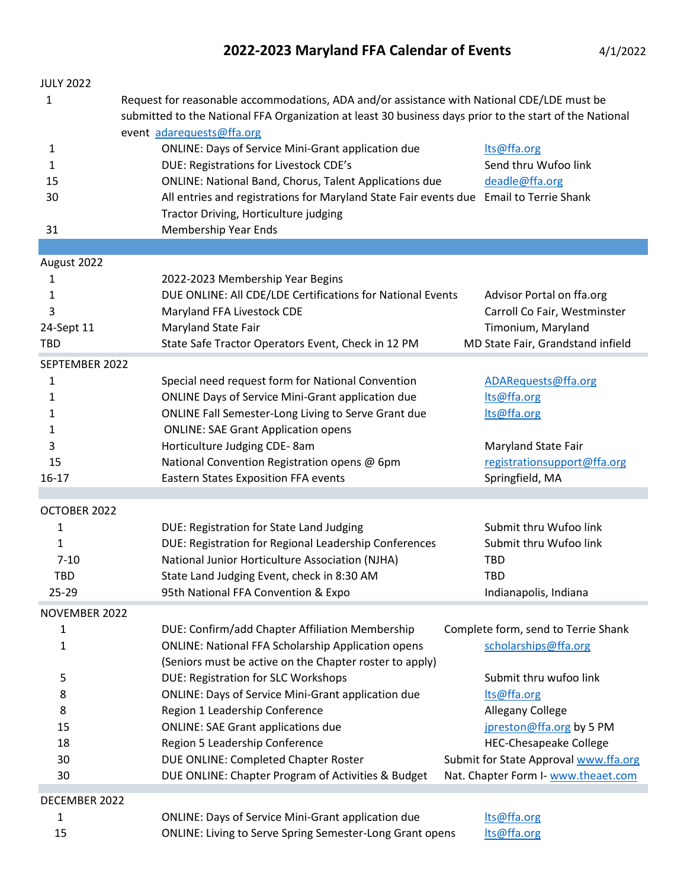## **2022-2023 Maryland FFA Calendar of Events** 4/1/2022

| <b>JULY 2022</b> |                                                                                                         |                                       |  |  |  |
|------------------|---------------------------------------------------------------------------------------------------------|---------------------------------------|--|--|--|
| 1                | Request for reasonable accommodations, ADA and/or assistance with National CDE/LDE must be              |                                       |  |  |  |
|                  | submitted to the National FFA Organization at least 30 business days prior to the start of the National |                                       |  |  |  |
|                  | event adarequests@ffa.org                                                                               |                                       |  |  |  |
| $\mathbf{1}$     | <b>ONLINE: Days of Service Mini-Grant application due</b>                                               | Its@ffa.org                           |  |  |  |
| 1                | DUE: Registrations for Livestock CDE's                                                                  | Send thru Wufoo link                  |  |  |  |
| 15               | <b>ONLINE: National Band, Chorus, Talent Applications due</b>                                           | deadle@ffa.org                        |  |  |  |
| 30               | All entries and registrations for Maryland State Fair events due Email to Terrie Shank                  |                                       |  |  |  |
|                  | Tractor Driving, Horticulture judging                                                                   |                                       |  |  |  |
| 31               | Membership Year Ends                                                                                    |                                       |  |  |  |
|                  |                                                                                                         |                                       |  |  |  |
| August 2022      |                                                                                                         |                                       |  |  |  |
| 1                | 2022-2023 Membership Year Begins                                                                        |                                       |  |  |  |
| 1                | DUE ONLINE: All CDE/LDE Certifications for National Events                                              | Advisor Portal on ffa.org             |  |  |  |
| 3                | Maryland FFA Livestock CDE                                                                              | Carroll Co Fair, Westminster          |  |  |  |
| 24-Sept 11       | Maryland State Fair                                                                                     | Timonium, Maryland                    |  |  |  |
| <b>TBD</b>       | State Safe Tractor Operators Event, Check in 12 PM                                                      | MD State Fair, Grandstand infield     |  |  |  |
| SEPTEMBER 2022   |                                                                                                         |                                       |  |  |  |
| 1                | Special need request form for National Convention                                                       | ADARequests@ffa.org                   |  |  |  |
| 1                | <b>ONLINE Days of Service Mini-Grant application due</b>                                                | Its@ffa.org                           |  |  |  |
| 1                | ONLINE Fall Semester-Long Living to Serve Grant due                                                     | lts@ffa.org                           |  |  |  |
| 1                | <b>ONLINE: SAE Grant Application opens</b>                                                              |                                       |  |  |  |
| 3                | Horticulture Judging CDE-8am                                                                            | Maryland State Fair                   |  |  |  |
| 15               | National Convention Registration opens @ 6pm                                                            | registrationsupport@ffa.org           |  |  |  |
| $16 - 17$        | <b>Eastern States Exposition FFA events</b>                                                             | Springfield, MA                       |  |  |  |
|                  |                                                                                                         |                                       |  |  |  |
| OCTOBER 2022     |                                                                                                         |                                       |  |  |  |
| 1                | DUE: Registration for State Land Judging                                                                | Submit thru Wufoo link                |  |  |  |
| 1                | DUE: Registration for Regional Leadership Conferences                                                   | Submit thru Wufoo link                |  |  |  |
| $7 - 10$         | National Junior Horticulture Association (NJHA)                                                         | <b>TBD</b>                            |  |  |  |
| TBD              | State Land Judging Event, check in 8:30 AM                                                              | <b>TBD</b>                            |  |  |  |
| $25 - 29$        | 95th National FFA Convention & Expo                                                                     | Indianapolis, Indiana                 |  |  |  |
| NOVEMBER 2022    |                                                                                                         |                                       |  |  |  |
| 1                | DUE: Confirm/add Chapter Affiliation Membership                                                         | Complete form, send to Terrie Shank   |  |  |  |
| 1                | <b>ONLINE: National FFA Scholarship Application opens</b>                                               | scholarships@ffa.org                  |  |  |  |
|                  | (Seniors must be active on the Chapter roster to apply)                                                 |                                       |  |  |  |
| 5                | DUE: Registration for SLC Workshops                                                                     | Submit thru wufoo link                |  |  |  |
| 8                | <b>ONLINE: Days of Service Mini-Grant application due</b>                                               | lts@ffa.org                           |  |  |  |
| 8                | Region 1 Leadership Conference                                                                          | Allegany College                      |  |  |  |
| 15               | <b>ONLINE: SAE Grant applications due</b>                                                               | jpreston@ffa.org by 5 PM              |  |  |  |
| 18               | Region 5 Leadership Conference                                                                          | <b>HEC-Chesapeake College</b>         |  |  |  |
| 30               | DUE ONLINE: Completed Chapter Roster                                                                    | Submit for State Approval www.ffa.org |  |  |  |
| 30               | DUE ONLINE: Chapter Program of Activities & Budget                                                      | Nat. Chapter Form I- www.theaet.com   |  |  |  |
| DECEMBER 2022    |                                                                                                         |                                       |  |  |  |
| 1                | <b>ONLINE: Days of Service Mini-Grant application due</b>                                               | Its@ffa.org                           |  |  |  |
| 15               | <b>ONLINE: Living to Serve Spring Semester-Long Grant opens</b>                                         | lts@ffa.org                           |  |  |  |
|                  |                                                                                                         |                                       |  |  |  |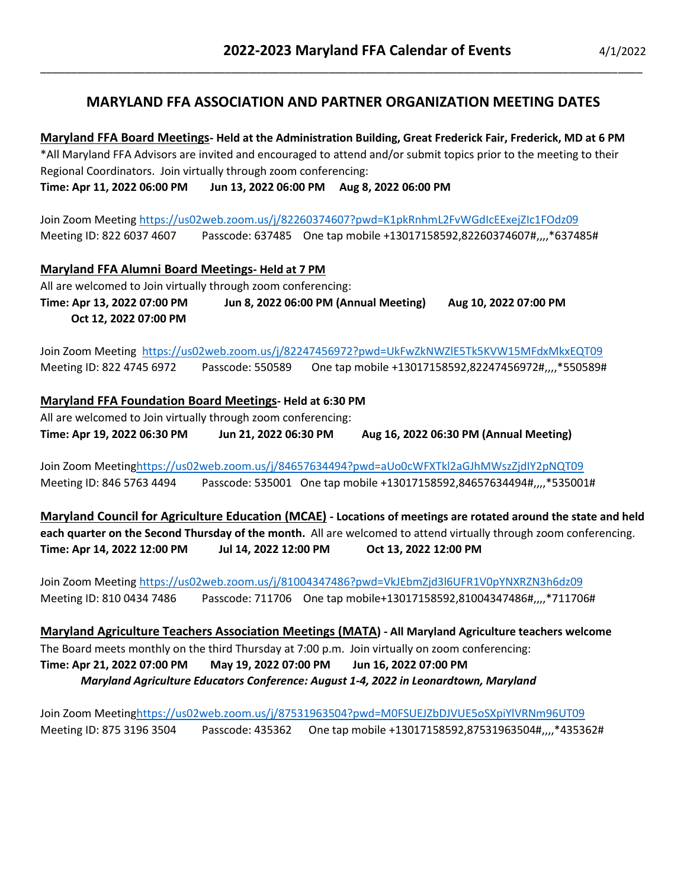## **MARYLAND FFA ASSOCIATION AND PARTNER ORGANIZATION MEETING DATES**

\_\_\_\_\_\_\_\_\_\_\_\_\_\_\_\_\_\_\_\_\_\_\_\_\_\_\_\_\_\_\_\_\_\_\_\_\_\_\_\_\_\_\_\_\_\_\_\_\_\_\_\_\_\_\_\_\_\_\_\_\_\_\_\_\_\_\_\_\_\_\_\_\_\_\_\_\_\_\_\_\_\_\_\_\_\_\_\_\_\_\_\_\_\_\_\_\_\_

**Maryland FFA Board Meetings- Held at the Administration Building, Great Frederick Fair, Frederick, MD at 6 PM** \*All Maryland FFA Advisors are invited and encouraged to attend and/or submit topics prior to the meeting to their Regional Coordinators. Join virtually through zoom conferencing: **Time: Apr 11, 2022 06:00 PM Jun 13, 2022 06:00 PM Aug 8, 2022 06:00 PM**

Join Zoom Meeting <https://us02web.zoom.us/j/82260374607?pwd=K1pkRnhmL2FvWGdIcEExejZIc1FOdz09> Meeting ID: 822 6037 4607 Passcode: 637485 One tap mobile +13017158592,82260374607#,,,,\*637485#

**Maryland FFA Alumni Board Meetings- Held at 7 PM** All are welcomed to Join virtually through zoom conferencing: **Time: Apr 13, 2022 07:00 PM Jun 8, 2022 06:00 PM (Annual Meeting) Aug 10, 2022 07:00 PM Oct 12, 2022 07:00 PM**

Join Zoom Meeting<https://us02web.zoom.us/j/82247456972?pwd=UkFwZkNWZlE5Tk5KVW15MFdxMkxEQT09> Meeting ID: 822 4745 6972 Passcode: 550589 One tap mobile +13017158592,82247456972#,,,,\*550589#

**Maryland FFA Foundation Board Meetings- Held at 6:30 PM** All are welcomed to Join virtually through zoom conferencing: **Time: Apr 19, 2022 06:30 PM Jun 21, 2022 06:30 PM Aug 16, 2022 06:30 PM (Annual Meeting)**

Join Zoom Meetin[ghttps://us02web.zoom.us/j/84657634494?pwd=aUo0cWFXTkl2aGJhMWszZjdIY2pNQT09](https://us02web.zoom.us/j/84657634494?pwd=aUo0cWFXTkl2aGJhMWszZjdIY2pNQT09) Meeting ID: 846 5763 4494 Passcode: 535001 One tap mobile +13017158592,84657634494#....\*535001#

**Maryland Council for Agriculture Education (MCAE) - Locations of meetings are rotated around the state and held each quarter on the Second Thursday of the month.** All are welcomed to attend virtually through zoom conferencing. **Time: Apr 14, 2022 12:00 PM Jul 14, 2022 12:00 PM Oct 13, 2022 12:00 PM**

Join Zoom Meeting<https://us02web.zoom.us/j/81004347486?pwd=VkJEbmZjd3l6UFR1V0pYNXRZN3h6dz09> Meeting ID: 810 0434 7486 Passcode: 711706 One tap mobile+13017158592,81004347486#,,,,\*711706#

**Maryland Agriculture Teachers Association Meetings (MATA) - All Maryland Agriculture teachers welcome** The Board meets monthly on the third Thursday at 7:00 p.m. Join virtually on zoom conferencing: **Time: Apr 21, 2022 07:00 PM May 19, 2022 07:00 PM Jun 16, 2022 07:00 PM** *Maryland Agriculture Educators Conference: August 1-4, 2022 in Leonardtown, Maryland*

Join Zoom Meetin[ghttps://us02web.zoom.us/j/87531963504?pwd=M0FSUEJZbDJVUE5oSXpiYlVRNm96UT09](https://us02web.zoom.us/j/87531963504?pwd=M0FSUEJZbDJVUE5oSXpiYlVRNm96UT09) Meeting ID: 875 3196 3504 Passcode: 435362 One tap mobile +13017158592,87531963504#,,,,\*435362#